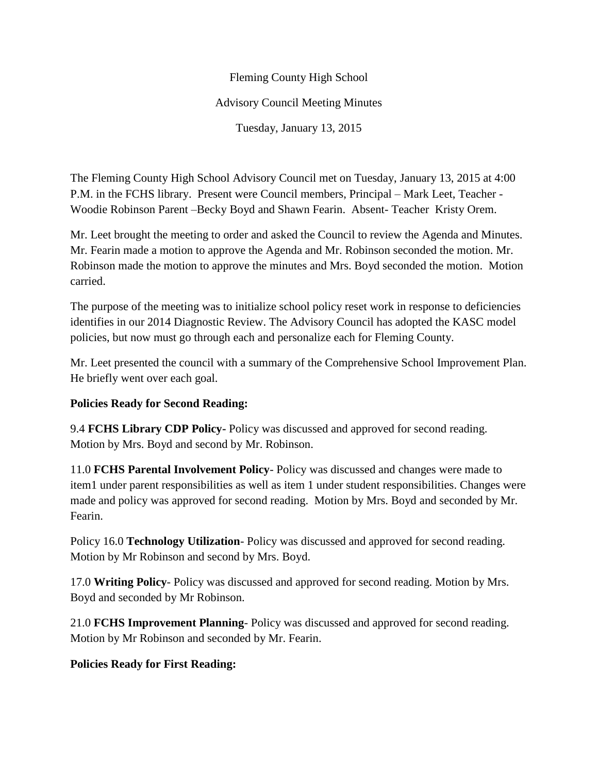## Fleming County High School Advisory Council Meeting Minutes Tuesday, January 13, 2015

The Fleming County High School Advisory Council met on Tuesday, January 13, 2015 at 4:00 P.M. in the FCHS library. Present were Council members, Principal – Mark Leet, Teacher - Woodie Robinson Parent –Becky Boyd and Shawn Fearin. Absent- Teacher Kristy Orem.

Mr. Leet brought the meeting to order and asked the Council to review the Agenda and Minutes. Mr. Fearin made a motion to approve the Agenda and Mr. Robinson seconded the motion. Mr. Robinson made the motion to approve the minutes and Mrs. Boyd seconded the motion. Motion carried.

The purpose of the meeting was to initialize school policy reset work in response to deficiencies identifies in our 2014 Diagnostic Review. The Advisory Council has adopted the KASC model policies, but now must go through each and personalize each for Fleming County.

Mr. Leet presented the council with a summary of the Comprehensive School Improvement Plan. He briefly went over each goal.

## **Policies Ready for Second Reading:**

9.4 **FCHS Library CDP Policy-** Policy was discussed and approved for second reading. Motion by Mrs. Boyd and second by Mr. Robinson.

11.0 **FCHS Parental Involvement Policy**- Policy was discussed and changes were made to item1 under parent responsibilities as well as item 1 under student responsibilities. Changes were made and policy was approved for second reading. Motion by Mrs. Boyd and seconded by Mr. Fearin.

Policy 16.0 **Technology Utilization**- Policy was discussed and approved for second reading. Motion by Mr Robinson and second by Mrs. Boyd.

17.0 **Writing Policy**- Policy was discussed and approved for second reading. Motion by Mrs. Boyd and seconded by Mr Robinson.

21.0 **FCHS Improvement Planning**- Policy was discussed and approved for second reading. Motion by Mr Robinson and seconded by Mr. Fearin.

## **Policies Ready for First Reading:**